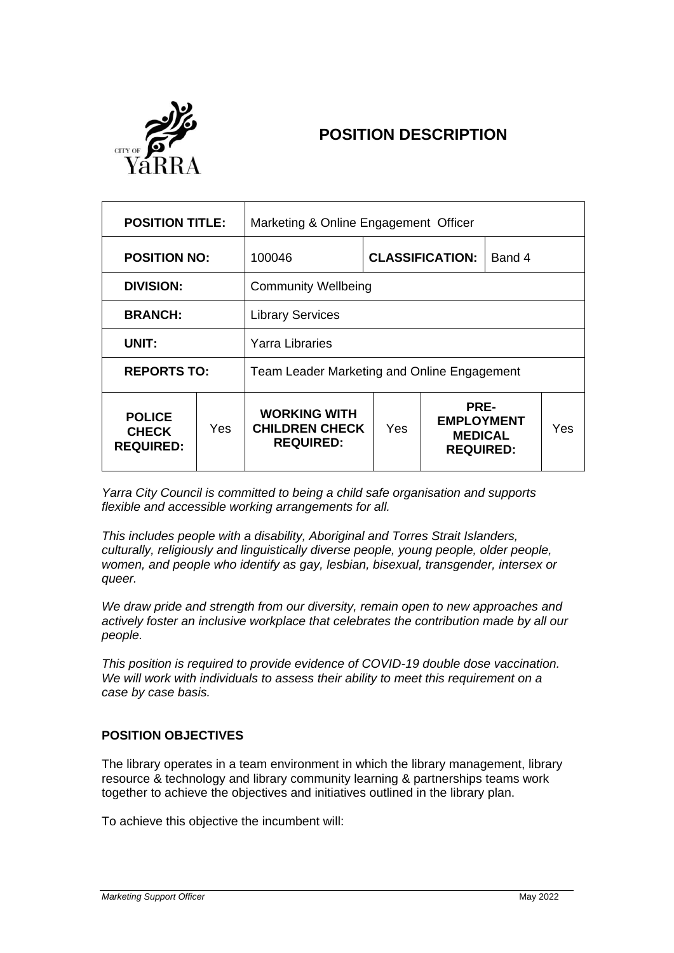

# **POSITION DESCRIPTION**

| <b>POSITION TITLE:</b>                            |      | Marketing & Online Engagement Officer                            |     |                                                                 |  |     |
|---------------------------------------------------|------|------------------------------------------------------------------|-----|-----------------------------------------------------------------|--|-----|
| <b>POSITION NO:</b>                               |      | 100046                                                           |     | <b>CLASSIFICATION:</b><br>Band 4                                |  |     |
| <b>DIVISION:</b>                                  |      | <b>Community Wellbeing</b>                                       |     |                                                                 |  |     |
| <b>BRANCH:</b>                                    |      | <b>Library Services</b>                                          |     |                                                                 |  |     |
| UNIT:                                             |      | Yarra Libraries                                                  |     |                                                                 |  |     |
| <b>REPORTS TO:</b>                                |      | Team Leader Marketing and Online Engagement                      |     |                                                                 |  |     |
| <b>POLICE</b><br><b>CHECK</b><br><b>REQUIRED:</b> | Yes. | <b>WORKING WITH</b><br><b>CHILDREN CHECK</b><br><b>REQUIRED:</b> | Yes | PRE-<br><b>EMPLOYMENT</b><br><b>MEDICAL</b><br><b>REQUIRED:</b> |  | Yes |

*Yarra City Council is committed to being a child safe organisation and supports flexible and accessible working arrangements for all.*

*This includes people with a disability, Aboriginal and Torres Strait Islanders, culturally, religiously and linguistically diverse people, young people, older people, women, and people who identify as gay, lesbian, bisexual, transgender, intersex or queer.*

*We draw pride and strength from our diversity, remain open to new approaches and actively foster an inclusive workplace that celebrates the contribution made by all our people.*

*This position is required to provide evidence of COVID-19 double dose vaccination. We will work with individuals to assess their ability to meet this requirement on a case by case basis.*

## **POSITION OBJECTIVES**

The library operates in a team environment in which the library management, library resource & technology and library community learning & partnerships teams work together to achieve the objectives and initiatives outlined in the library plan.

To achieve this objective the incumbent will: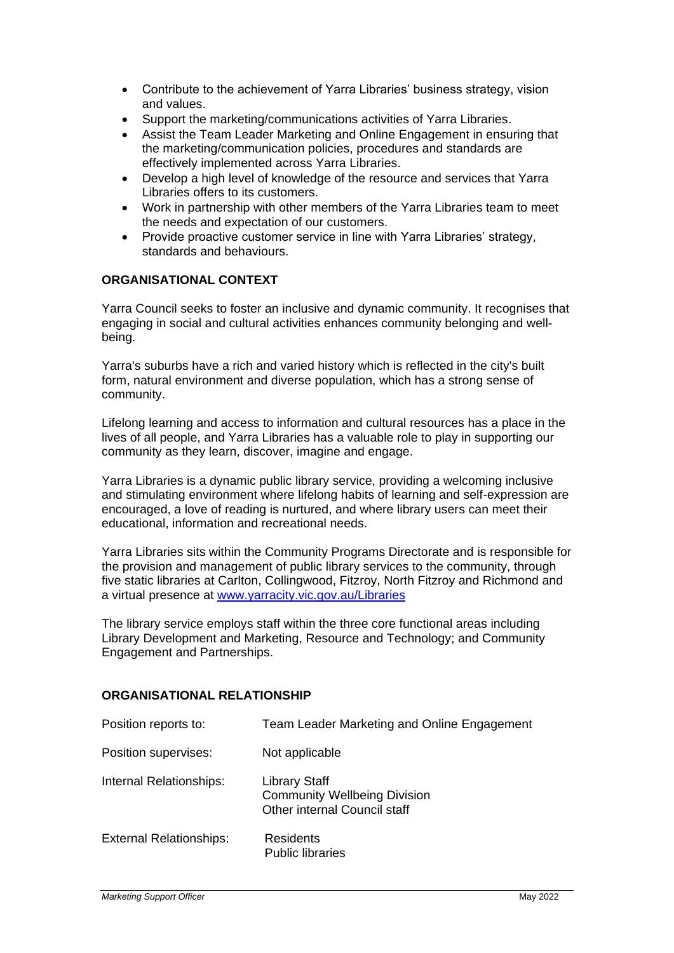- Contribute to the achievement of Yarra Libraries' business strategy, vision and values.
- Support the marketing/communications activities of Yarra Libraries.
- Assist the Team Leader Marketing and Online Engagement in ensuring that the marketing/communication policies, procedures and standards are effectively implemented across Yarra Libraries.
- Develop a high level of knowledge of the resource and services that Yarra Libraries offers to its customers.
- Work in partnership with other members of the Yarra Libraries team to meet the needs and expectation of our customers.
- Provide proactive customer service in line with Yarra Libraries' strategy, standards and behaviours.

## **ORGANISATIONAL CONTEXT**

Yarra Council seeks to foster an inclusive and dynamic community. It recognises that engaging in social and cultural activities enhances community belonging and wellbeing.

Yarra's suburbs have a rich and varied history which is reflected in the city's built form, natural environment and diverse population, which has a strong sense of community.

Lifelong learning and access to information and cultural resources has a place in the lives of all people, and Yarra Libraries has a valuable role to play in supporting our community as they learn, discover, imagine and engage.

Yarra Libraries is a dynamic public library service, providing a welcoming inclusive and stimulating environment where lifelong habits of learning and self-expression are encouraged, a love of reading is nurtured, and where library users can meet their educational, information and recreational needs.

Yarra Libraries sits within the Community Programs Directorate and is responsible for the provision and management of public library services to the community, through five static libraries at Carlton, Collingwood, Fitzroy, North Fitzroy and Richmond and a virtual presence at [www.yarracity.vic.gov.au/Libraries](http://www.yarracity.vic.gov.au/Libraries)

The library service employs staff within the three core functional areas including Library Development and Marketing, Resource and Technology; and Community Engagement and Partnerships.

## **ORGANISATIONAL RELATIONSHIP**

| Position reports to:           | Team Leader Marketing and Online Engagement                                                        |
|--------------------------------|----------------------------------------------------------------------------------------------------|
| Position supervises:           | Not applicable                                                                                     |
| Internal Relationships:        | <b>Library Staff</b><br><b>Community Wellbeing Division</b><br><b>Other internal Council staff</b> |
| <b>External Relationships:</b> | Residents<br><b>Public libraries</b>                                                               |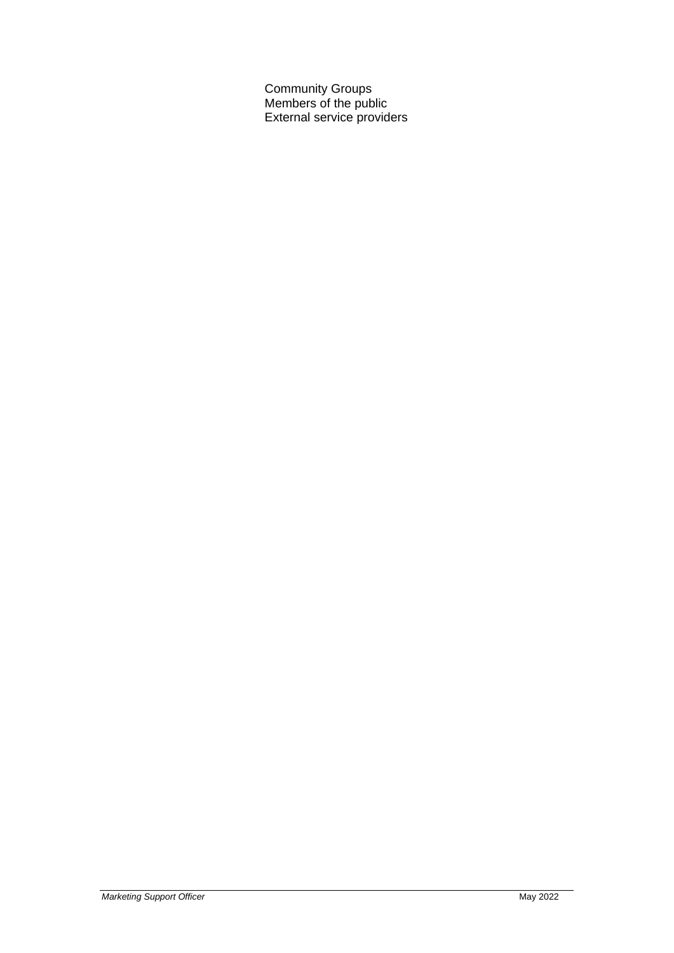Community Groups Members of the public External service providers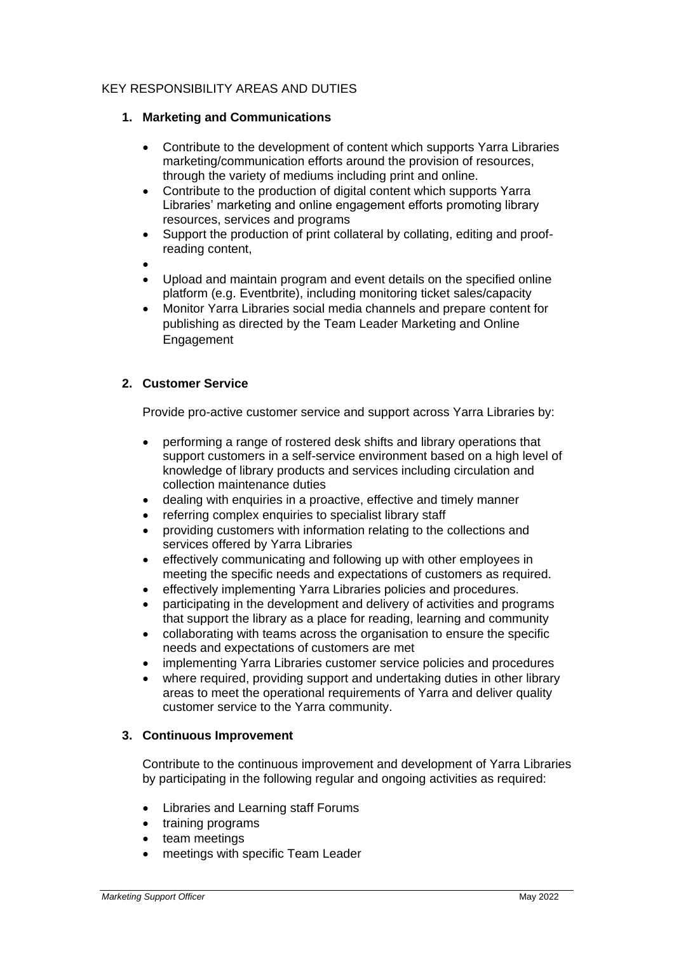# KEY RESPONSIBILITY AREAS AND DUTIES

# **1. Marketing and Communications**

- Contribute to the development of content which supports Yarra Libraries marketing/communication efforts around the provision of resources, through the variety of mediums including print and online.
- Contribute to the production of digital content which supports Yarra Libraries' marketing and online engagement efforts promoting library resources, services and programs
- Support the production of print collateral by collating, editing and proofreading content,
- •
- Upload and maintain program and event details on the specified online platform (e.g. Eventbrite), including monitoring ticket sales/capacity
- Monitor Yarra Libraries social media channels and prepare content for publishing as directed by the Team Leader Marketing and Online **Engagement**

# **2. Customer Service**

Provide pro-active customer service and support across Yarra Libraries by:

- performing a range of rostered desk shifts and library operations that support customers in a self-service environment based on a high level of knowledge of library products and services including circulation and collection maintenance duties
- dealing with enquiries in a proactive, effective and timely manner
- referring complex enquiries to specialist library staff
- providing customers with information relating to the collections and services offered by Yarra Libraries
- effectively communicating and following up with other employees in meeting the specific needs and expectations of customers as required.
- effectively implementing Yarra Libraries policies and procedures.
- participating in the development and delivery of activities and programs that support the library as a place for reading, learning and community
- collaborating with teams across the organisation to ensure the specific needs and expectations of customers are met
- implementing Yarra Libraries customer service policies and procedures
- where required, providing support and undertaking duties in other library areas to meet the operational requirements of Yarra and deliver quality customer service to the Yarra community.

## **3. Continuous Improvement**

Contribute to the continuous improvement and development of Yarra Libraries by participating in the following regular and ongoing activities as required:

- Libraries and Learning staff Forums
- training programs
- team meetings
- meetings with specific Team Leader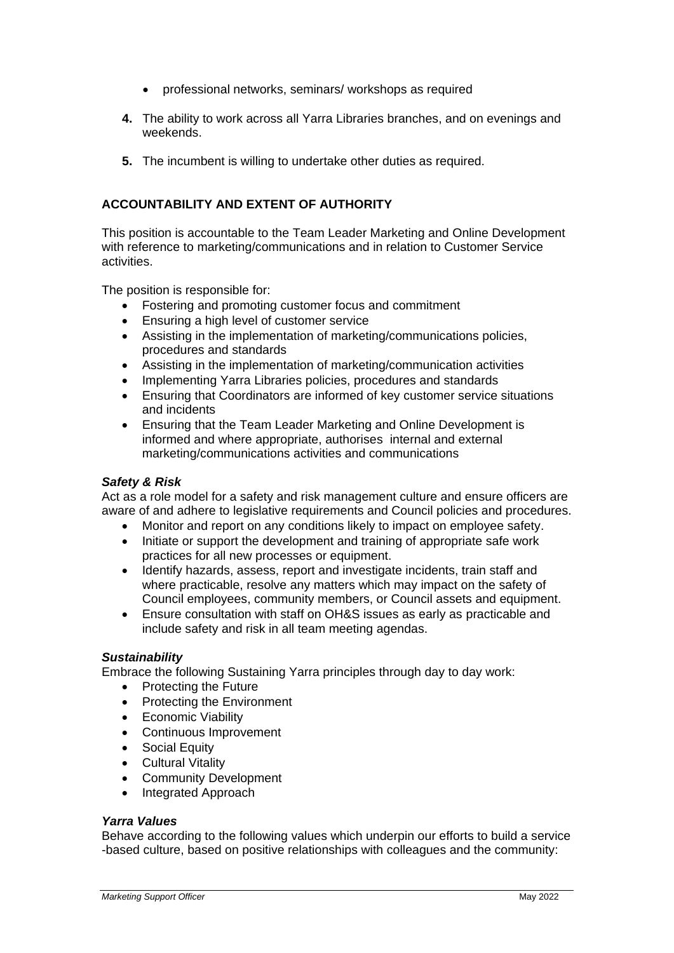- professional networks, seminars/ workshops as required
- **4.** The ability to work across all Yarra Libraries branches, and on evenings and weekends.
- **5.** The incumbent is willing to undertake other duties as required.

# **ACCOUNTABILITY AND EXTENT OF AUTHORITY**

This position is accountable to the Team Leader Marketing and Online Development with reference to marketing/communications and in relation to Customer Service activities.

The position is responsible for:

- Fostering and promoting customer focus and commitment
- Ensuring a high level of customer service
- Assisting in the implementation of marketing/communications policies, procedures and standards
- Assisting in the implementation of marketing/communication activities
- Implementing Yarra Libraries policies, procedures and standards
- Ensuring that Coordinators are informed of key customer service situations and incidents
- Ensuring that the Team Leader Marketing and Online Development is informed and where appropriate, authorises internal and external marketing/communications activities and communications

#### *Safety & Risk*

Act as a role model for a safety and risk management culture and ensure officers are aware of and adhere to legislative requirements and Council policies and procedures.

- Monitor and report on any conditions likely to impact on employee safety.
- Initiate or support the development and training of appropriate safe work practices for all new processes or equipment.
- Identify hazards, assess, report and investigate incidents, train staff and where practicable, resolve any matters which may impact on the safety of Council employees, community members, or Council assets and equipment.
- Ensure consultation with staff on OH&S issues as early as practicable and include safety and risk in all team meeting agendas.

#### *Sustainability*

Embrace the following Sustaining Yarra principles through day to day work:

- Protecting the Future
- Protecting the Environment
- Economic Viability
- Continuous Improvement
- Social Equity
- Cultural Vitality
- Community Development
- Integrated Approach

#### *Yarra Values*

Behave according to the following values which underpin our efforts to build a service -based culture, based on positive relationships with colleagues and the community: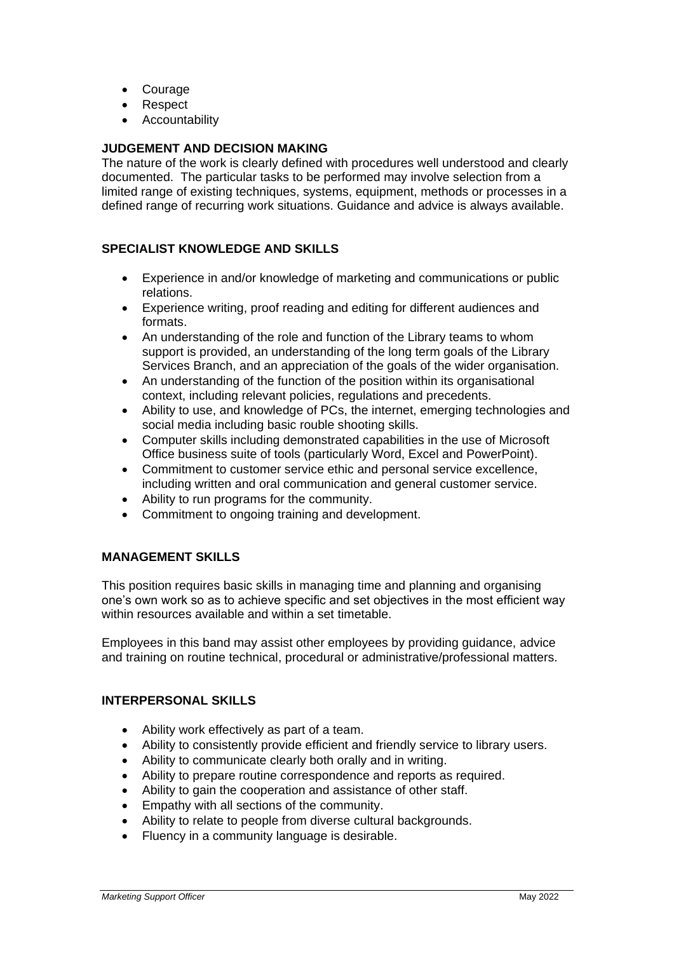- Courage
- Respect
- **Accountability**

# **JUDGEMENT AND DECISION MAKING**

The nature of the work is clearly defined with procedures well understood and clearly documented. The particular tasks to be performed may involve selection from a limited range of existing techniques, systems, equipment, methods or processes in a defined range of recurring work situations. Guidance and advice is always available.

# **SPECIALIST KNOWLEDGE AND SKILLS**

- Experience in and/or knowledge of marketing and communications or public relations.
- Experience writing, proof reading and editing for different audiences and formats.
- An understanding of the role and function of the Library teams to whom support is provided, an understanding of the long term goals of the Library Services Branch, and an appreciation of the goals of the wider organisation.
- An understanding of the function of the position within its organisational context, including relevant policies, regulations and precedents.
- Ability to use, and knowledge of PCs, the internet, emerging technologies and social media including basic rouble shooting skills.
- Computer skills including demonstrated capabilities in the use of Microsoft Office business suite of tools (particularly Word, Excel and PowerPoint).
- Commitment to customer service ethic and personal service excellence, including written and oral communication and general customer service.
- Ability to run programs for the community.
- Commitment to ongoing training and development.

# **MANAGEMENT SKILLS**

This position requires basic skills in managing time and planning and organising one's own work so as to achieve specific and set objectives in the most efficient way within resources available and within a set timetable.

Employees in this band may assist other employees by providing guidance, advice and training on routine technical, procedural or administrative/professional matters.

## **INTERPERSONAL SKILLS**

- Ability work effectively as part of a team.
- Ability to consistently provide efficient and friendly service to library users.
- Ability to communicate clearly both orally and in writing.
- Ability to prepare routine correspondence and reports as required.
- Ability to gain the cooperation and assistance of other staff.
- Empathy with all sections of the community.
- Ability to relate to people from diverse cultural backgrounds.
- Fluency in a community language is desirable.